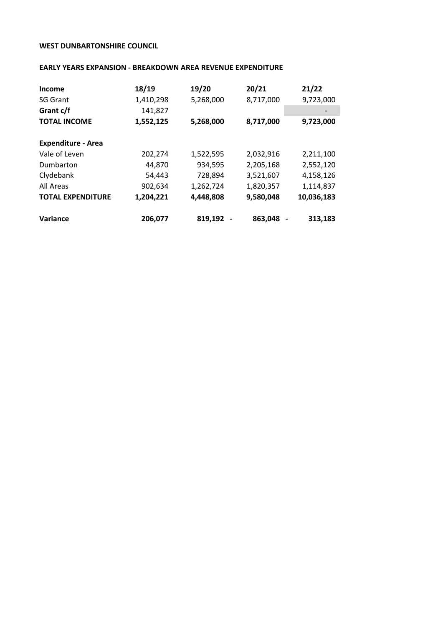## **WEST DUNBARTONSHIRE COUNCIL**

## **EARLY YEARS EXPANSION - BREAKDOWN AREA REVENUE EXPENDITURE**

| Income                    | 18/19     | 19/20     | 20/21     | 21/22      |
|---------------------------|-----------|-----------|-----------|------------|
| <b>SG Grant</b>           | 1,410,298 | 5,268,000 | 8,717,000 | 9,723,000  |
| Grant c/f                 | 141,827   |           |           |            |
| <b>TOTAL INCOME</b>       | 1,552,125 | 5,268,000 | 8,717,000 | 9,723,000  |
| <b>Expenditure - Area</b> |           |           |           |            |
| Vale of Leven             | 202,274   | 1,522,595 | 2,032,916 | 2,211,100  |
| Dumbarton                 | 44,870    | 934,595   | 2,205,168 | 2,552,120  |
| Clydebank                 | 54,443    | 728,894   | 3,521,607 | 4,158,126  |
| All Areas                 | 902,634   | 1,262,724 | 1,820,357 | 1,114,837  |
| <b>TOTAL EXPENDITURE</b>  | 1,204,221 | 4,448,808 | 9,580,048 | 10,036,183 |
| Variance                  | 206,077   | 819,192   | 863,048   | 313,183    |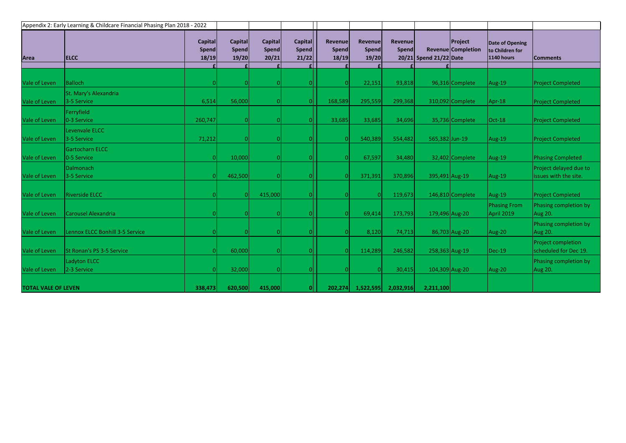| Appendix 2: Early Learning & Childcare Financial Phasing Plan 2018 - 2022 |                                      |                                  |                           |                                         |                                         |                           |                                  |                         |                        |                               |                                                  |                                                    |
|---------------------------------------------------------------------------|--------------------------------------|----------------------------------|---------------------------|-----------------------------------------|-----------------------------------------|---------------------------|----------------------------------|-------------------------|------------------------|-------------------------------|--------------------------------------------------|----------------------------------------------------|
| Area                                                                      | <b>ELCC</b>                          | <b>Capital</b><br>Spend<br>18/19 | Capital<br>Spend<br>19/20 | <b>Capital</b><br><b>Spend</b><br>20/21 | <b>Capital</b><br><b>Spend</b><br>21/22 | Revenue<br>Spend<br>18/19 | Revenue<br><b>Spend</b><br>19/20 | Revenue<br><b>Spend</b> | 20/21 Spend 21/22 Date | Project<br>Revenue Completion | Date of Opening<br>to Children for<br>1140 hours | <b>Comments</b>                                    |
|                                                                           |                                      |                                  |                           |                                         |                                         |                           |                                  |                         |                        |                               |                                                  |                                                    |
| Vale of Leven                                                             | <b>Balloch</b>                       |                                  |                           |                                         |                                         |                           | 22,151                           | 93,818                  |                        | 96,316 Complete               | Aug-19                                           | <b>Project Completed</b>                           |
| Vale of Leven                                                             | St. Mary's Alexandria<br>3-5 Service | 6,514                            | 56,000                    |                                         |                                         | 168,589                   | 295,559                          | 299,368                 |                        | 310,092 Complete              | Apr-18                                           | <b>Project Completed</b>                           |
| Vale of Leven                                                             | Ferryfield<br>0-3 Service            | 260,747                          |                           |                                         |                                         | 33,685                    | 33,685                           | 34,696                  |                        | 35,736 Complete               | $Oct-18$                                         | <b>Project Completed</b>                           |
| Vale of Leven                                                             | Levenvale ELCC<br>3-5 Service        | 71,212                           |                           |                                         |                                         |                           | 540,389                          | 554,482                 | 565,382 Jun-19         |                               | Aug-19                                           | <b>Project Completed</b>                           |
| Vale of Leven                                                             | Gartocharn ELCC<br>0-5 Service       |                                  | 10,000                    |                                         |                                         |                           | 67,597                           | 34,480                  |                        | 32,402 Complete               | Aug-19                                           | <b>Phasing Completed</b>                           |
| Vale of Leven                                                             | <b>Dalmonach</b><br>3-5 Service      |                                  | 462,500                   |                                         |                                         |                           | 371,391                          | 370,896                 | 395,491 Aug-19         |                               | Aug-19                                           | Project delayed due to<br>issues with the site.    |
| Vale of Leven                                                             | <b>Riverside ELCC</b>                |                                  |                           | 415,000                                 |                                         |                           | $\Omega$                         | 119,673                 |                        | 146,810 Complete              | Aug-19                                           | <b>Project Completed</b>                           |
| Vale of Leven                                                             | <b>Carousel Alexandria</b>           |                                  |                           |                                         |                                         |                           | 69,414                           | 173,793                 | 179,496 Aug-20         |                               | <b>Phasing From</b><br><b>April 2019</b>         | Phasing completion by<br>Aug 20.                   |
| Vale of Leven                                                             | Lennox ELCC Bonhill 3-5 Service      |                                  |                           |                                         |                                         |                           | 8,120                            | 74,713                  |                        | 86,703 Aug-20                 | Aug-20                                           | Phasing completion by<br>Aug 20.                   |
| Vale of Leven                                                             | St Ronan's PS 3-5 Service            |                                  | 60,000                    |                                         |                                         |                           | 114,289                          | 246,582                 | 258,363 Aug-19         |                               | <b>Dec-19</b>                                    | <b>Project completion</b><br>scheduled for Dec 19. |
| Vale of Leven                                                             | Ladyton ELCC<br>2-3 Service          |                                  | 32,000                    |                                         |                                         |                           | $\Omega$                         | 30,415                  | 104,309 Aug-20         |                               | Aug-20                                           | Phasing completion by<br>Aug 20.                   |
| <b>TOTAL VALE OF LEVEN</b>                                                |                                      | 338,473                          | 620,500                   | 415,000                                 |                                         | 202,274                   | 1,522,595                        | 2,032,916               | 2,211,100              |                               |                                                  |                                                    |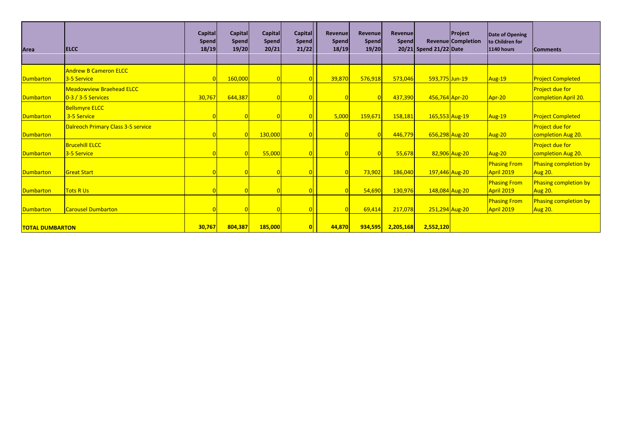| Area                   | <b>IELCC</b>                                          | <b>Capital</b><br><b>Spend</b><br>18/19 | <b>Capital</b><br><b>Spend</b><br>19/20 | <b>Capital</b><br>Spend<br>20/21 | Capital<br>Spend<br>21/22 | Revenue<br>Spend<br>18/19 | Revenue<br><b>Spend</b><br>19/20 | Revenue<br>Spend | 20/21 Spend 21/22 Date | <b>Project</b><br><b>Revenue Completion</b> | Date of Opening<br>to Children for<br><b>1140 hours</b> | <b>Comments</b>                              |
|------------------------|-------------------------------------------------------|-----------------------------------------|-----------------------------------------|----------------------------------|---------------------------|---------------------------|----------------------------------|------------------|------------------------|---------------------------------------------|---------------------------------------------------------|----------------------------------------------|
|                        | <b>Andrew B Cameron ELCC</b>                          |                                         |                                         |                                  |                           |                           |                                  |                  |                        |                                             |                                                         |                                              |
| <b>Dumbarton</b>       | 3-5 Service                                           |                                         | 160,000                                 |                                  |                           | 39,870                    | 576,918                          | 573,046          | 593,775 Jun-19         |                                             | <b>Aug-19</b>                                           | <b>Project Completed</b>                     |
| <b>Dumbarton</b>       | <b>Meadowyiew Braehead ELCC</b><br>0-3 / 3-5 Services | 30,767                                  | 644,387                                 |                                  |                           |                           |                                  | 437,390          | 456,764 Apr-20         |                                             | Apr-20                                                  | Project due for<br>completion April 20.      |
| <b>Dumbarton</b>       | <b>Bellsmyre ELCC</b><br>3-5 Service                  |                                         |                                         |                                  |                           | 5,000                     | 159,671                          | 158,181          | 165,553 Aug-19         |                                             | Aug-19                                                  | <b>Project Completed</b>                     |
| <b>Dumbarton</b>       | <b>Dalreoch Primary Class 3-5 service</b>             |                                         |                                         | 130,000                          |                           |                           |                                  | 446,779          | 656,298 Aug-20         |                                             | <b>Aug-20</b>                                           | <b>Project due for</b><br>completion Aug 20. |
| <b>Dumbarton</b>       | <b>Brucehill ELCC</b><br>3-5 Service                  |                                         |                                         | 55,000                           |                           |                           |                                  | 55,678           |                        | $82,906$ Aug-20                             | <b>Aug-20</b>                                           | <b>Project due for</b><br>completion Aug 20. |
| <b>Dumbarton</b>       | <b>Great Start</b>                                    |                                         |                                         |                                  |                           |                           | 73,902                           | 186,040          | 197,446 Aug-20         |                                             | <b>Phasing From</b><br>April 2019                       | Phasing completion by<br>Aug 20.             |
| <b>Dumbarton</b>       | <b>Tots R Us</b>                                      |                                         |                                         |                                  |                           |                           | 54,690                           | 130,976          | 148,084 Aug-20         |                                             | <b>Phasing From</b><br>April 2019                       | Phasing completion by<br>Aug 20.             |
| <b>Dumbarton</b>       | <b>Carousel Dumbarton</b>                             |                                         |                                         |                                  |                           |                           | 69,414                           | 217,078          | 251,294 Aug-20         |                                             | <b>Phasing From</b><br>April 2019                       | Phasing completion by<br>Aug 20.             |
| <b>TOTAL DUMBARTON</b> |                                                       | 30,767                                  | 804,387                                 | 185,000                          |                           | 44,870                    | 934,595                          | 2,205,168        | 2,552,120              |                                             |                                                         |                                              |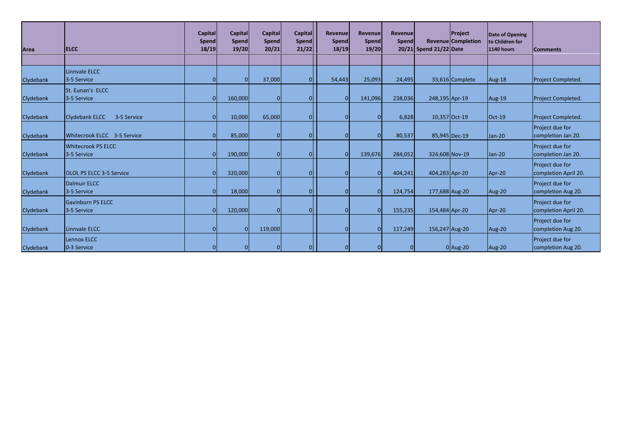| Area             | <b>ELCC</b>                          | Capital<br><b>Spend</b><br>18/19 | Capital<br>Spend<br>19/20 | <b>Capital</b><br><b>Spend</b><br>20/21 | Capital<br><b>Spend</b><br>21/22 | <b>Revenue</b><br>Spend<br>18/19 | Revenue<br><b>Spend</b><br>19/20 | Revenue<br><b>Spend</b> | 20/21 Spend 21/22 Date | Project<br><b>Revenue Completion</b> | Date of Opening<br>to Children for<br>1140 hours | <b>Comments</b>      |
|------------------|--------------------------------------|----------------------------------|---------------------------|-----------------------------------------|----------------------------------|----------------------------------|----------------------------------|-------------------------|------------------------|--------------------------------------|--------------------------------------------------|----------------------|
|                  |                                      |                                  |                           |                                         |                                  |                                  |                                  |                         |                        |                                      |                                                  |                      |
|                  | Linnvale ELCC                        |                                  |                           |                                         |                                  |                                  |                                  |                         |                        |                                      |                                                  |                      |
| Clydebank        | 3-5 Service                          |                                  |                           | 37,000                                  |                                  | 54,443                           | 25,093                           | 24,495                  |                        | 33,616 Complete                      | Aug-18                                           | Project Completed.   |
|                  | St. Eunan's ELCC                     |                                  |                           |                                         |                                  |                                  |                                  |                         |                        |                                      |                                                  |                      |
| Clydebank        | 3-5 Service                          |                                  | 160,000                   |                                         |                                  |                                  | 141,096                          | 238,036                 | 248,195 Apr-19         |                                      | Aug-19                                           | Project Completed.   |
|                  |                                      |                                  |                           |                                         |                                  |                                  |                                  |                         |                        |                                      |                                                  |                      |
| Clydebank        | <b>Clydebank ELCC</b><br>3-5 Service |                                  | 10,000                    | 65,000                                  | $\Omega$                         |                                  | $\overline{0}$                   | 6,828                   |                        | 10,357 Oct-19                        | $Oct-19$                                         | Project Completed.   |
|                  |                                      |                                  |                           |                                         |                                  |                                  |                                  |                         |                        |                                      |                                                  | Project due for      |
| Clydebank        | Whitecrook ELCC 3-5 Service          |                                  | 85,000                    | $\Omega$                                | <sup>0</sup>                     |                                  | $\Omega$                         | 80,537                  |                        | 85,945 Dec-19                        | Jan-20                                           | completion Jan 20.   |
|                  | <b>Whitecrook PS ELCC</b>            |                                  |                           |                                         |                                  |                                  |                                  |                         |                        |                                      |                                                  | Project due for      |
| Clydebank        | 3-5 Service                          |                                  | 190,000                   | $\Omega$                                |                                  |                                  | 139,676                          | 284,052                 | 324,608 Nov-19         |                                      | Jan-20                                           | completion Jan 20.   |
|                  |                                      |                                  |                           |                                         |                                  |                                  |                                  |                         |                        |                                      |                                                  | Project due for      |
| Clydebank        | <b>OLOL PS ELCC 3-5 Service</b>      |                                  | 320,000                   |                                         |                                  |                                  | $\Omega$                         | 404,241                 | 404,283 Apr-20         |                                      | Apr-20                                           | completion April 20. |
|                  | <b>Dalmuir ELCC</b>                  |                                  |                           |                                         |                                  |                                  |                                  |                         |                        |                                      |                                                  | Project due for      |
| Clydebank        | 3-5 Service                          |                                  | 18,000                    | $\Omega$                                |                                  |                                  | $\Omega$                         | 124,754                 | 177,688 Aug-20         |                                      | Aug-20                                           | completion Aug 20.   |
|                  | <b>Gavinburn PS ELCC</b>             |                                  |                           |                                         |                                  |                                  |                                  |                         |                        |                                      |                                                  | Project due for      |
| <b>Clydebank</b> | 3-5 Service                          |                                  | 120,000                   | $\Omega$                                |                                  |                                  | $\Omega$                         | 155,235                 | 154,484 Apr-20         |                                      | Apr-20                                           | completion April 20. |
|                  |                                      |                                  |                           |                                         |                                  |                                  |                                  |                         |                        |                                      |                                                  | Project due for      |
| Clydebank        | Linnvale ELCC                        |                                  |                           | 119,000                                 |                                  |                                  | $\Omega$                         | 117,249                 | 156,247 Aug-20         |                                      | Aug-20                                           | completion Aug 20.   |
|                  | <b>Lennox ELCC</b>                   |                                  |                           |                                         |                                  |                                  |                                  |                         |                        |                                      |                                                  | Project due for      |
| Clydebank        | 0-3 Service                          |                                  |                           | n                                       | $\Omega$                         |                                  | $\Omega$                         | $\Omega$                |                        | $0$  Aug-20                          | Aug-20                                           | completion Aug 20.   |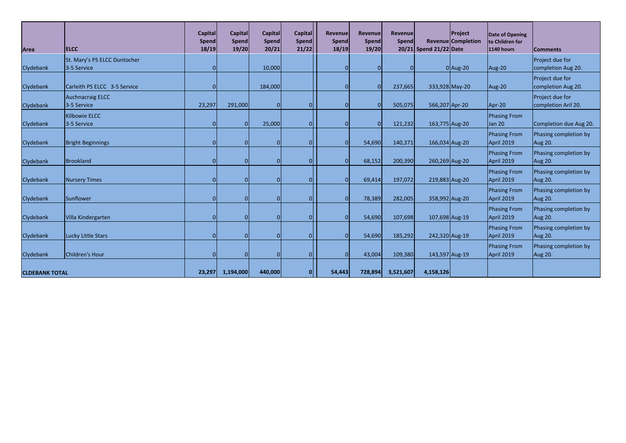| Area                  | <b>ELCC</b>                                 | Capital<br>Spend<br>18/19 | <b>Capital</b><br><b>Spend</b><br>19/20 | Capital<br>Spend<br>20/21 | <b>Capital</b><br>Spend<br>21/22 | Revenue<br>Spend<br>18/19 | <b>Revenue</b><br>Spend<br>19/20 | <b>Revenue</b><br>Spend | 20/21 Spend 21/22 Date | Project<br><b>Revenue Completion</b> | Date of Opening<br>to Children for<br><b>1140 hours</b> | <b>Comments</b>                         |
|-----------------------|---------------------------------------------|---------------------------|-----------------------------------------|---------------------------|----------------------------------|---------------------------|----------------------------------|-------------------------|------------------------|--------------------------------------|---------------------------------------------------------|-----------------------------------------|
| Clydebank             | St. Mary's PS ELCC Duntocher<br>3-5 Service |                           |                                         | 10,000                    |                                  | $\Omega$                  | $\Omega$                         | 0                       |                        | $0$  Aug-20                          | Aug-20                                                  | Project due for<br>completion Aug 20.   |
| Clydebank             | Carleith PS ELCC 3-5 Service                |                           |                                         | 184,000                   |                                  | $\Omega$                  | $\Omega$                         | 237,665                 |                        | 333,928 May-20                       | Aug-20                                                  | Project due for<br>completion Aug 20.   |
| <b>Clydebank</b>      | <b>Auchnacraig ELCC</b><br>3-5 Service      | 23,297                    | 291,000                                 |                           |                                  | $\Omega$                  |                                  | 505,075                 | 566,207 Apr-20         |                                      | Apr-20                                                  | Project due for<br>completion Aril 20.  |
| Clydebank             | <b>Kilbowie ELCC</b><br>3-5 Service         |                           | $\Omega$                                | 25,000                    |                                  | $\Omega$                  | $\Omega$                         | 121,232                 | 163,775 Aug-20         |                                      | Phasing From<br>Jan 20                                  | Completion due Aug 20.                  |
| Clydebank             | <b>Bright Beginnings</b>                    |                           | $\Omega$                                |                           |                                  | $\Omega$                  | 54,690                           | 140,371                 | 166,034 Aug-20         |                                      | <b>Phasing From</b><br>April 2019                       | Phasing completion by<br><b>Aug 20.</b> |
| Clydebank             | Brookland                                   |                           |                                         |                           |                                  | $\Omega$                  | 68,152                           | 200,390                 | 260,269 Aug-20         |                                      | <b>Phasing From</b><br>April 2019                       | Phasing completion by<br>Aug 20.        |
| Clydebank             | <b>Nursery Times</b>                        |                           | $\Omega$                                |                           |                                  | $\Omega$                  | 69,414                           | 197,072                 | 219,883 Aug-20         |                                      | <b>Phasing From</b><br>April 2019                       | Phasing completion by<br><b>Aug 20.</b> |
| Clydebank             | Sunflower                                   |                           |                                         |                           |                                  | $\Omega$                  | 78,389                           | 282,005                 | 358,992 Aug-20         |                                      | <b>Phasing From</b><br>April 2019                       | Phasing completion by<br><b>Aug 20.</b> |
| Clydebank             | Villa Kindergarten                          |                           |                                         |                           |                                  | $\Omega$                  | 54,690                           | 107,698                 | 107,698 Aug-19         |                                      | <b>Phasing From</b><br>April 2019                       | Phasing completion by<br><b>Aug 20.</b> |
| Clydebank             | <b>Lucky Little Stars</b>                   |                           |                                         |                           |                                  | $\Omega$                  | 54,690                           | 185,292                 | 242,320 Aug-19         |                                      | <b>Phasing From</b><br>April 2019                       | Phasing completion by<br><b>Aug 20.</b> |
| Clydebank             | Children's Hour                             |                           |                                         |                           |                                  | $\Omega$                  | 43,004                           | 109,380                 | 143,597 Aug-19         |                                      | <b>Phasing From</b><br>April 2019                       | Phasing completion by<br><b>Aug 20.</b> |
| <b>CLDEBANK TOTAL</b> |                                             | 23,297                    | 1,194,000                               | 440,000                   | $\mathbf{0}$                     | 54,443                    | 728,894                          | 3,521,607               | 4,158,126              |                                      |                                                         |                                         |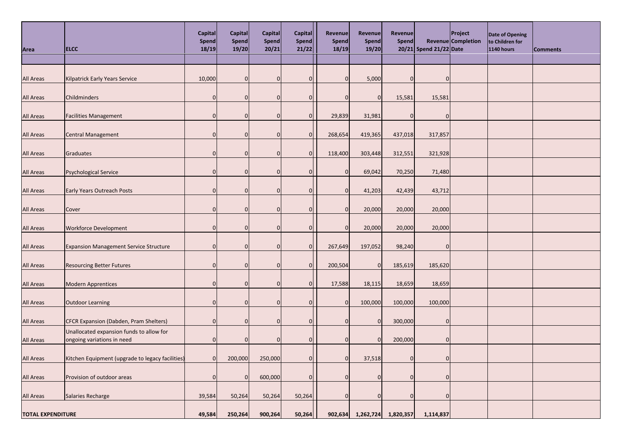| Area                     | <b>ELCC</b>                                                            | Capital<br><b>Spend</b><br>18/19 | Capital<br><b>Spend</b><br>19/20 | Capital<br><b>Spend</b><br>20/21 | <b>Capital</b><br>Spend<br>21/22 | <b>Revenue</b><br><b>Spend</b><br>18/19 | Revenue<br><b>Spend</b><br>19/20 | <b>Revenue</b><br><b>Spend</b> | 20/21 Spend 21/22 Date | Project<br><b>Revenue Completion</b> | Date of Opening<br>to Children for<br>1140 hours | <b>Comments</b> |
|--------------------------|------------------------------------------------------------------------|----------------------------------|----------------------------------|----------------------------------|----------------------------------|-----------------------------------------|----------------------------------|--------------------------------|------------------------|--------------------------------------|--------------------------------------------------|-----------------|
|                          |                                                                        |                                  |                                  |                                  |                                  |                                         |                                  |                                |                        |                                      |                                                  |                 |
| All Areas                | Kilpatrick Early Years Service                                         | 10,000                           | $\Omega$                         | O                                | $\overline{0}$                   | $\overline{0}$                          | 5,000                            | $\overline{0}$                 | $\Omega$               |                                      |                                                  |                 |
| All Areas                | Childminders                                                           | $\Omega$                         | $\Omega$                         | $\Omega$                         | $\overline{0}$                   | $\overline{0}$                          | $\mathbf 0$                      | 15,581                         | 15,581                 |                                      |                                                  |                 |
| All Areas                | <b>Facilities Management</b>                                           | 0                                |                                  |                                  | $\overline{0}$                   | 29,839                                  | 31,981                           | $\Omega$                       | C                      |                                      |                                                  |                 |
| All Areas                | <b>Central Management</b>                                              | 0                                | $\Omega$                         |                                  | $\overline{0}$                   | 268,654                                 | 419,365                          | 437,018                        | 317,857                |                                      |                                                  |                 |
| All Areas                | Graduates                                                              | $\Omega$                         | $\Omega$                         | $\Omega$                         | $\overline{0}$                   | 118,400                                 | 303,448                          | 312,551                        | 321,928                |                                      |                                                  |                 |
| <b>All Areas</b>         | Psychological Service                                                  | 0                                |                                  |                                  | $\overline{0}$                   | $\overline{0}$                          | 69,042                           | 70,250                         | 71,480                 |                                      |                                                  |                 |
| All Areas                | <b>Early Years Outreach Posts</b>                                      | $\Omega$                         | $\Omega$                         |                                  | $\overline{0}$                   | $\overline{0}$                          | 41,203                           | 42,439                         | 43,712                 |                                      |                                                  |                 |
| All Areas                | Cover                                                                  | O                                |                                  |                                  | $\overline{0}$                   | $\overline{0}$                          | 20,000                           | 20,000                         | 20,000                 |                                      |                                                  |                 |
| All Areas                | <b>Workforce Development</b>                                           | O                                |                                  |                                  | $\Omega$                         | $\overline{0}$                          | 20,000                           | 20,000                         | 20,000                 |                                      |                                                  |                 |
| All Areas                | <b>Expansion Management Service Structure</b>                          | $\Omega$                         | $\Omega$                         | $\Omega$                         | $\overline{0}$                   | 267,649                                 | 197,052                          | 98,240                         | $\mathbf 0$            |                                      |                                                  |                 |
| <b>All Areas</b>         | <b>Resourcing Better Futures</b>                                       |                                  |                                  |                                  | $\overline{0}$                   | 200,504                                 | $\Omega$                         | 185,619                        | 185,620                |                                      |                                                  |                 |
| All Areas                | <b>Modern Apprentices</b>                                              | $\Omega$                         | $\Omega$                         |                                  | $\overline{0}$                   | 17,588                                  | 18,115                           | 18,659                         | 18,659                 |                                      |                                                  |                 |
| All Areas                | <b>Outdoor Learning</b>                                                | $\Omega$                         | $\Omega$                         | $\Omega$                         | $\overline{0}$                   | $\overline{0}$                          | 100,000                          | 100,000                        | 100,000                |                                      |                                                  |                 |
| All Areas                | CFCR Expansion (Dabden, Pram Shelters)                                 | $\Omega$                         |                                  |                                  | $\overline{0}$                   | $\Omega$                                | $\overline{0}$                   | 300,000                        | 0                      |                                      |                                                  |                 |
| All Areas                | Unallocated expansion funds to allow for<br>ongoing variations in need | 0                                | $\Omega$                         |                                  | $\overline{0}$                   | $\overline{0}$                          | $\Omega$                         | 200,000                        | $\overline{0}$         |                                      |                                                  |                 |
| <b>All Areas</b>         | Kitchen Equipment (upgrade to legacy facilities)                       | $\overline{0}$                   | 200,000                          | 250,000                          | 0                                | $\overline{0}$                          | 37,518                           | $\overline{0}$                 | $\overline{0}$         |                                      |                                                  |                 |
| All Areas                | Provision of outdoor areas                                             | $\Omega$                         | $\mathbf{0}$                     | 600,000                          | $\overline{0}$                   | $\overline{0}$                          | $\mathbf 0$                      | $\overline{0}$                 | $\overline{0}$         |                                      |                                                  |                 |
| All Areas                | Salaries Recharge                                                      | 39,584                           | 50,264                           | 50,264                           | 50,264                           | $\mathbf{0}$                            | $\Omega$                         | $\overline{0}$                 | $\overline{0}$         |                                      |                                                  |                 |
| <b>TOTAL EXPENDITURE</b> |                                                                        | 49,584                           | 250,264                          | 900,264                          | 50,264                           | 902,634                                 | 1,262,724                        | 1,820,357                      | 1,114,837              |                                      |                                                  |                 |